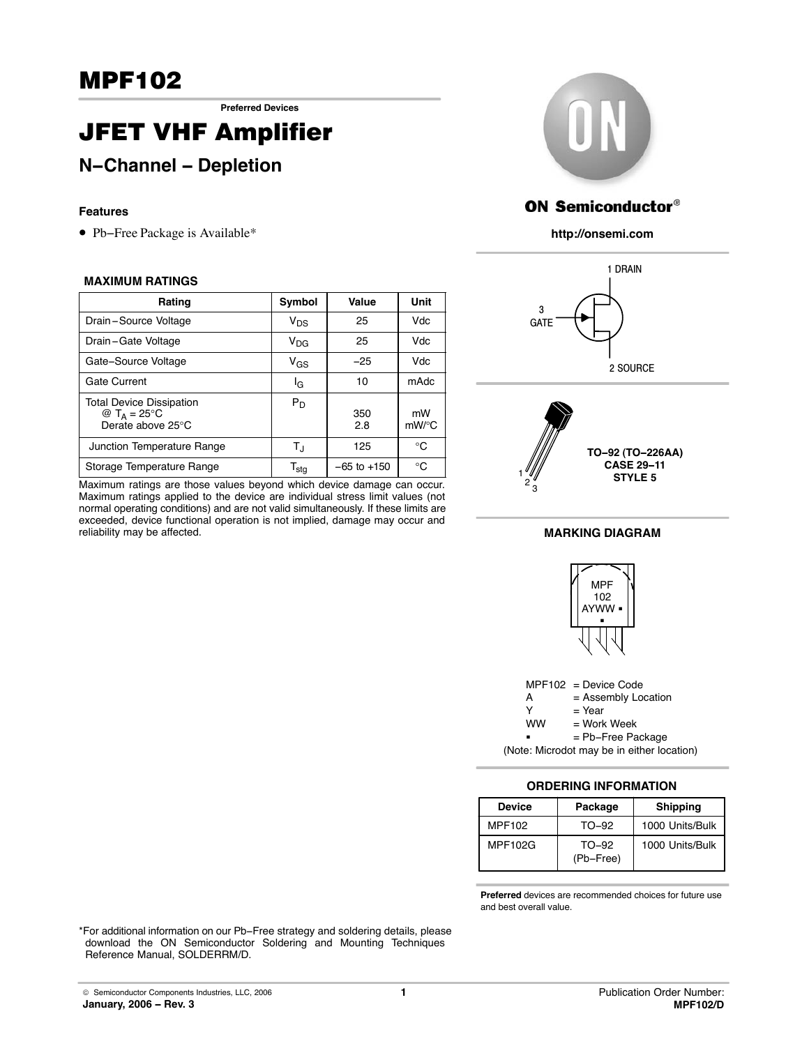**Preferred Devices**

# JFET VHF Amplifier

## **N−Channel − Depletion**

### **Features**

Pb−Free Package is Available\*

#### **MAXIMUM RATINGS**

| Rating                                                                          | Symbol                      | Value           | Unit       |
|---------------------------------------------------------------------------------|-----------------------------|-----------------|------------|
| Drain-Source Voltage                                                            | $V_{DS}$                    | 25              | Vdc        |
| Drain-Gate Voltage                                                              | $V_{\text{DG}}$             | 25              | Vdc        |
| Gate-Source Voltage                                                             | $V_{GS}$                    | $-25$           | Vdc        |
| <b>Gate Current</b>                                                             | ΙG                          | 10              | mAdc       |
| <b>Total Device Dissipation</b><br>@ T <sub>A</sub> = 25 C<br>Derate above 25 C | $P_D$                       | 350<br>28       | mW<br>mW/C |
| Junction Temperature Range                                                      | Tյ                          | 125             | C          |
| Storage Temperature Range                                                       | $\mathsf{T}_{\mathsf{stg}}$ | $-65$ to $+150$ | C          |

Maximum ratings are those values beyond which device damage can occur. Maximum ratings applied to the device are individual stress limit values (not normal operating conditions) and are not valid simultaneously. If these limits are exceeded, device functional operation is not implied, damage may occur and reliability may be affected.



## **ON Semiconductor®**

**http://onsemi.com**





#### **MARKING DIAGRAM**





**ORDERING INFORMATION**

| <b>Device</b>  | Package              | <b>Shipping</b> |  |  |  |
|----------------|----------------------|-----------------|--|--|--|
| <b>MPF102</b>  | TO-92                | 1000 Units/Bulk |  |  |  |
| <b>MPF102G</b> | $TO-92$<br>(Pb-Free) | 1000 Units/Bulk |  |  |  |

**Preferred** devices are recommended choices for future use and best overall value.

\*For additional information on our Pb−Free strategy and soldering details, please download the ON Semiconductor Soldering and Mounting Techniques Reference Manual, SOLDERRM/D.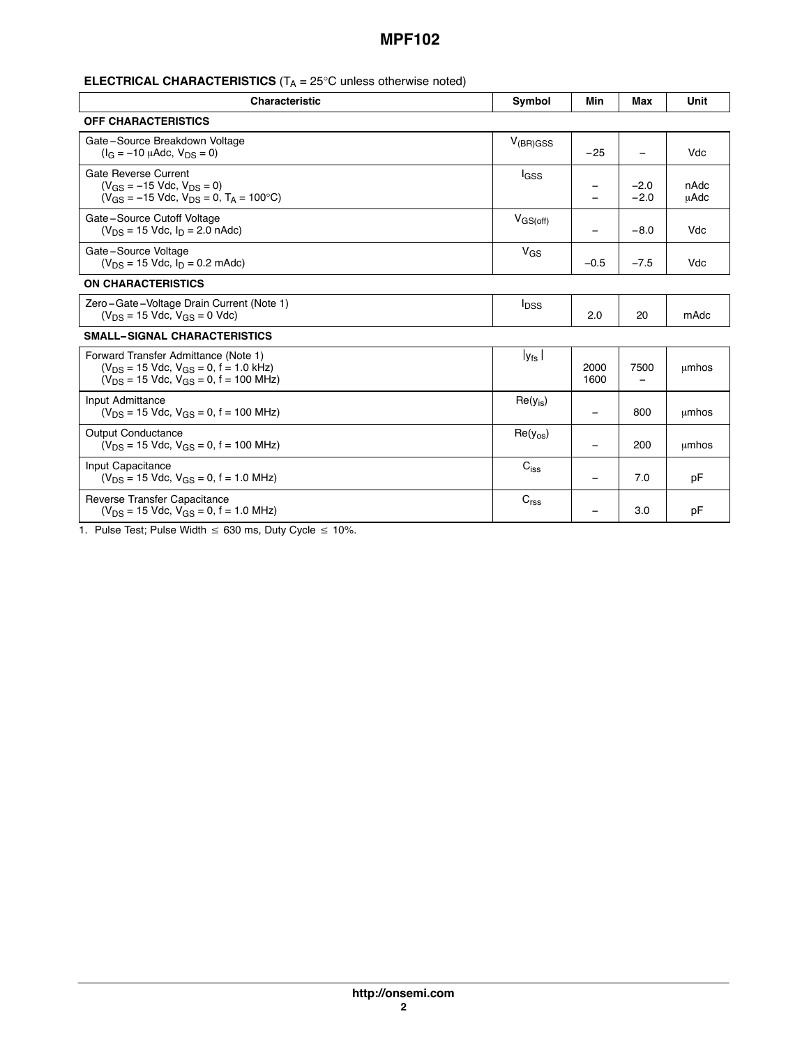## **ELECTRICAL CHARACTERISTICS** (T<sub>A</sub> = 25 C unless otherwise noted)

| <b>Characteristic</b>                                                                                                                      | Symbol                  | Min          | Max              | Unit         |  |  |
|--------------------------------------------------------------------------------------------------------------------------------------------|-------------------------|--------------|------------------|--------------|--|--|
| <b>OFF CHARACTERISTICS</b>                                                                                                                 |                         |              |                  |              |  |  |
| Gate-Source Breakdown Voltage<br>$(I_G = -10 \mu A d c, V_{DS} = 0)$                                                                       | $V_{(BR)GSS}$           | $-25$        |                  | Vdc          |  |  |
| Gate Reverse Current<br>$(V_{GS} = -15$ Vdc, $V_{DS} = 0$ )<br>$(V_{GS} = -15$ Vdc, $V_{DS} = 0$ , $T_A = 100$ C)                          | lgss                    | —            | $-2.0$<br>$-2.0$ | nAdc<br>uAdc |  |  |
| Gate-Source Cutoff Voltage<br>$(V_{DS} = 15$ Vdc, $I_D = 2.0$ nAdc)                                                                        | $V_{GS(off)}$           |              | $-8.0$           | Vdc          |  |  |
| Gate-Source Voltage<br>$(V_{DS} = 15$ Vdc, $I_D = 0.2$ mAdc)                                                                               | $V_{GS}$                | $-0.5$       | $-7.5$           | Vdc          |  |  |
| <b>ON CHARACTERISTICS</b>                                                                                                                  |                         |              |                  |              |  |  |
| Zero-Gate-Voltage Drain Current (Note 1)<br>$(V_{DS} = 15$ Vdc, $V_{GS} = 0$ Vdc)                                                          | <b>I</b> <sub>DSS</sub> | 2.0          | 20               | mAdc         |  |  |
| <b>SMALL-SIGNAL CHARACTERISTICS</b>                                                                                                        |                         |              |                  |              |  |  |
| Forward Transfer Admittance (Note 1)<br>$(V_{DS} = 15$ Vdc, $V_{GS} = 0$ , f = 1.0 kHz)<br>$(V_{DS} = 15$ Vdc, $V_{GS} = 0$ , f = 100 MHz) | $ y_{fs} $              | 2000<br>1600 | 7500             | umhos        |  |  |
| Input Admittance<br>$(V_{DS} = 15$ Vdc, $V_{GS} = 0$ , f = 100 MHz)                                                                        | $Re(y_{is})$            | —            | 800              | umhos        |  |  |
| <b>Output Conductance</b><br>$(V_{DS} = 15$ Vdc, $V_{GS} = 0$ , f = 100 MHz)                                                               | $Re(y_{os})$            |              | 200              | umhos        |  |  |
| Input Capacitance<br>$(V_{DS} = 15$ Vdc, $V_{GS} = 0$ , f = 1.0 MHz)                                                                       | $C_{iss}$               |              | 7.0              | pF           |  |  |
| Reverse Transfer Capacitance<br>$(V_{DS} = 15$ Vdc, $V_{GS} = 0$ , f = 1.0 MHz)                                                            | C <sub>rss</sub>        |              | 3.0              | pF           |  |  |

<span id="page-1-0"></span>1. Pulse Test; Pulse Width  $\leq 630$  ms, Duty Cycle  $\leq 10\%$ .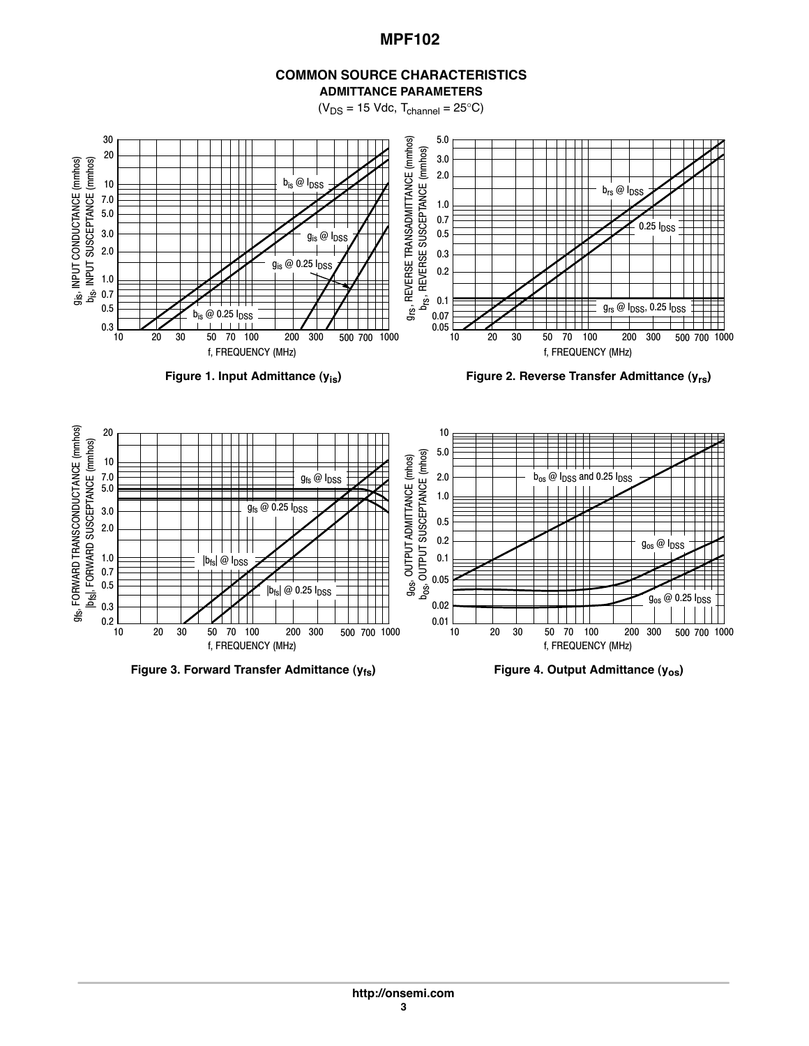#### **COMMON SOURCE CHARACTERISTICS ADMITTANCE PARAMETERS**

 $(V_{DS} = 15$  Vdc,  $T_{channel} = 25$  C)



Figure 1. Input Admittance (y<sub>is</sub>) **Figure 2. Reverse Transfer Admittance (y<sub>rs</sub>)** 



**Figure 3. Forward Transfer Admittance (y<sub>fs</sub>) Figure 4. Output Admittance (y<sub>os</sub>)**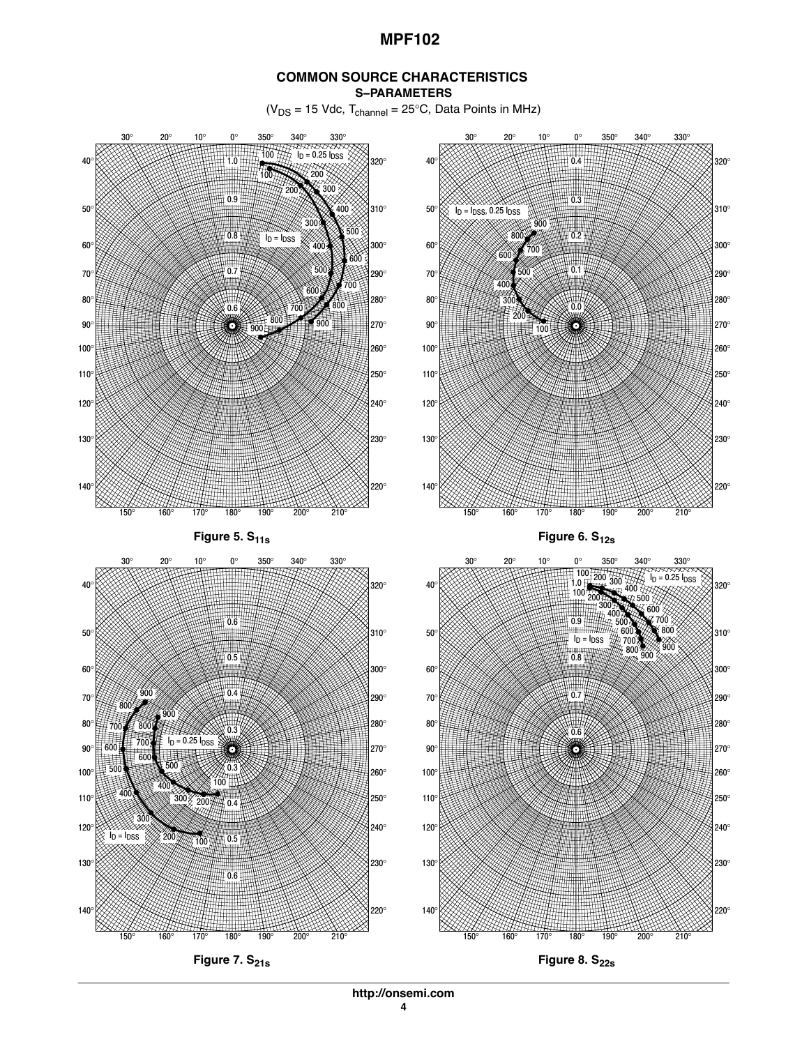#### **COMMON SOURCE CHARACTERISTICS S−PARAMETERS**

 $(V_{DS} = 15$  Vdc,  $T_{channel} = 25$  C, Data Points in MHz)



**http://onsemi.com**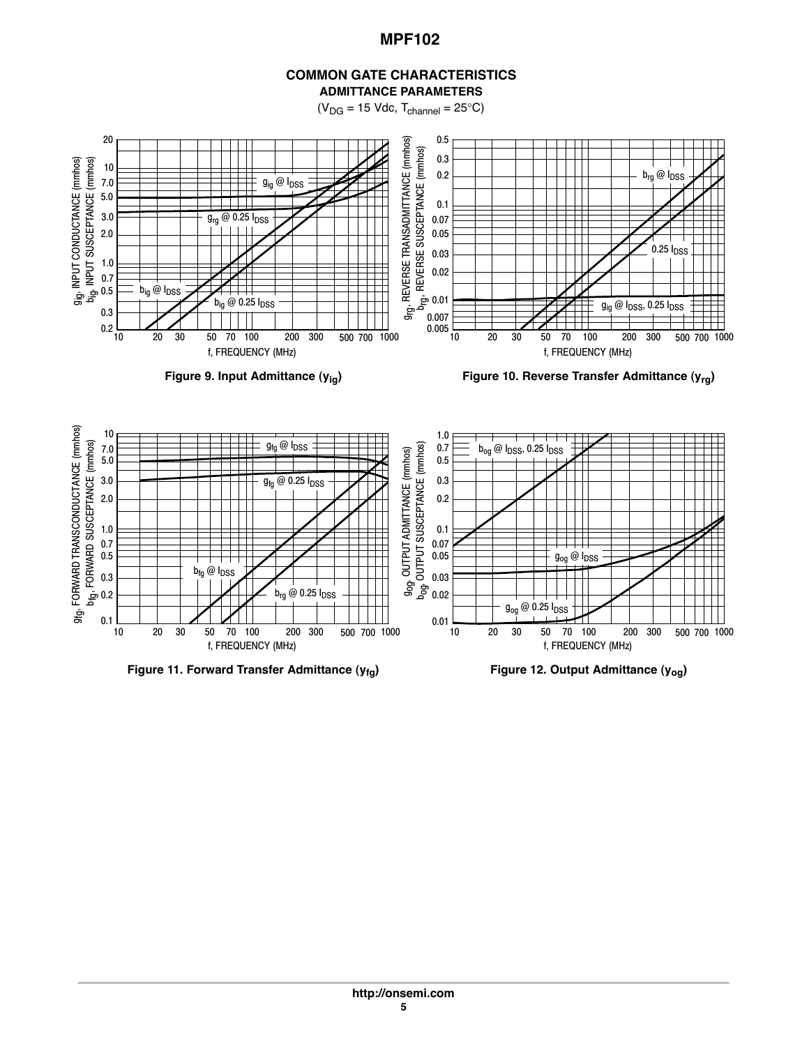

 $(V_{DG} = 15$  Vdc,  $T_{channel} = 25$  C)



Figure 9. Input Admittance (y<sub>ig</sub>) **Figure 10. Reverse Transfer Admittance (y<sub>rg</sub>)** 



**Figure 11. Forward Transfer Admittance (y<sub>fg</sub>) Figure 12. Output Admittance (y<sub>og</sub>)**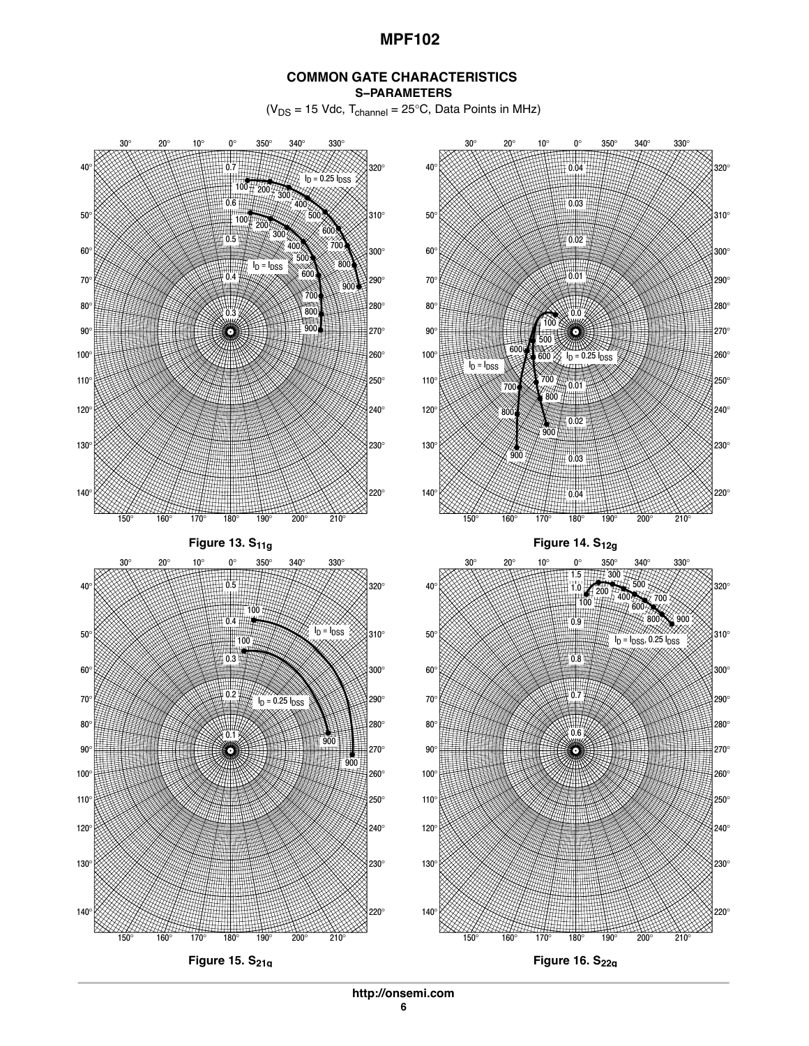#### **COMMON GATE CHARACTERISTICS S−PARAMETERS**

 $(V_{DS} = 15$  Vdc,  $T_{channel} = 25$  C, Data Points in MHz)



**http://onsemi.com**